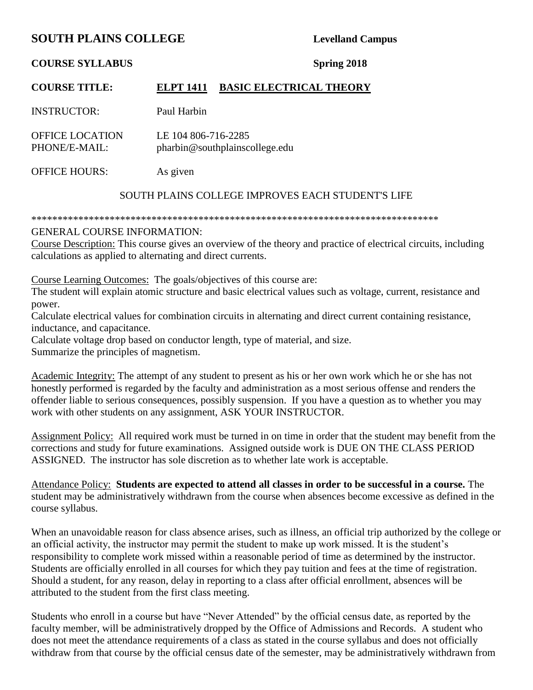# **SOUTH PLAINS COLLEGE** Levelland Campus

**COURSE SYLLABUS Spring 2018**

# **COURSE TITLE: ELPT 1411 BASIC ELECTRICAL THEORY**

INSTRUCTOR: Paul Harbin

OFFICE LOCATION LE 104 806-716-2285 PHONE/E-MAIL: pharbin@southplainscollege.edu

OFFICE HOURS: As given

#### SOUTH PLAINS COLLEGE IMPROVES EACH STUDENT'S LIFE

\*\*\*\*\*\*\*\*\*\*\*\*\*\*\*\*\*\*\*\*\*\*\*\*\*\*\*\*\*\*\*\*\*\*\*\*\*\*\*\*\*\*\*\*\*\*\*\*\*\*\*\*\*\*\*\*\*\*\*\*\*\*\*\*\*\*\*\*\*\*\*\*\*\*\*\*\*\*

#### GENERAL COURSE INFORMATION:

Course Description: This course gives an overview of the theory and practice of electrical circuits, including calculations as applied to alternating and direct currents.

Course Learning Outcomes: The goals/objectives of this course are:

The student will explain atomic structure and basic electrical values such as voltage, current, resistance and power.

Calculate electrical values for combination circuits in alternating and direct current containing resistance, inductance, and capacitance.

Calculate voltage drop based on conductor length, type of material, and size. Summarize the principles of magnetism.

Academic Integrity: The attempt of any student to present as his or her own work which he or she has not honestly performed is regarded by the faculty and administration as a most serious offense and renders the offender liable to serious consequences, possibly suspension. If you have a question as to whether you may work with other students on any assignment, ASK YOUR INSTRUCTOR.

Assignment Policy: All required work must be turned in on time in order that the student may benefit from the corrections and study for future examinations. Assigned outside work is DUE ON THE CLASS PERIOD ASSIGNED. The instructor has sole discretion as to whether late work is acceptable.

Attendance Policy: **Students are expected to attend all classes in order to be successful in a course.** The student may be administratively withdrawn from the course when absences become excessive as defined in the course syllabus.

When an unavoidable reason for class absence arises, such as illness, an official trip authorized by the college or an official activity, the instructor may permit the student to make up work missed. It is the student's responsibility to complete work missed within a reasonable period of time as determined by the instructor. Students are officially enrolled in all courses for which they pay tuition and fees at the time of registration. Should a student, for any reason, delay in reporting to a class after official enrollment, absences will be attributed to the student from the first class meeting.

Students who enroll in a course but have "Never Attended" by the official census date, as reported by the faculty member, will be administratively dropped by the Office of Admissions and Records. A student who does not meet the attendance requirements of a class as stated in the course syllabus and does not officially withdraw from that course by the official census date of the semester, may be administratively withdrawn from